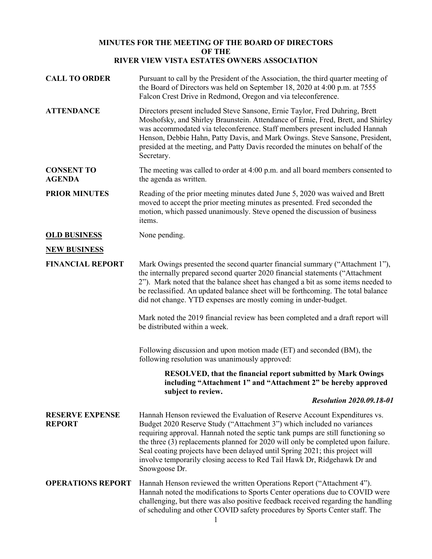## **MINUTES FOR THE MEETING OF THE BOARD OF DIRECTORS OF THE RIVER VIEW VISTA ESTATES OWNERS ASSOCIATION**

| <b>CALL TO ORDER</b>                    | Pursuant to call by the President of the Association, the third quarter meeting of<br>the Board of Directors was held on September 18, 2020 at 4:00 p.m. at 7555<br>Falcon Crest Drive in Redmond, Oregon and via teleconference.                                                                                                                                                                                                                                                                       |
|-----------------------------------------|---------------------------------------------------------------------------------------------------------------------------------------------------------------------------------------------------------------------------------------------------------------------------------------------------------------------------------------------------------------------------------------------------------------------------------------------------------------------------------------------------------|
| <b>ATTENDANCE</b>                       | Directors present included Steve Sansone, Ernie Taylor, Fred Duhring, Brett<br>Moshofsky, and Shirley Braunstein. Attendance of Ernie, Fred, Brett, and Shirley<br>was accommodated via teleconference. Staff members present included Hannah<br>Henson, Debbie Hahn, Patty Davis, and Mark Owings. Steve Sansone, President,<br>presided at the meeting, and Patty Davis recorded the minutes on behalf of the<br>Secretary.                                                                           |
| <b>CONSENT TO</b><br><b>AGENDA</b>      | The meeting was called to order at 4:00 p.m. and all board members consented to<br>the agenda as written.                                                                                                                                                                                                                                                                                                                                                                                               |
| <b>PRIOR MINUTES</b>                    | Reading of the prior meeting minutes dated June 5, 2020 was waived and Brett<br>moved to accept the prior meeting minutes as presented. Fred seconded the<br>motion, which passed unanimously. Steve opened the discussion of business<br>items.                                                                                                                                                                                                                                                        |
| <b>OLD BUSINESS</b>                     | None pending.                                                                                                                                                                                                                                                                                                                                                                                                                                                                                           |
| <b>NEW BUSINESS</b>                     |                                                                                                                                                                                                                                                                                                                                                                                                                                                                                                         |
| <b>FINANCIAL REPORT</b>                 | Mark Owings presented the second quarter financial summary ("Attachment 1"),<br>the internally prepared second quarter 2020 financial statements ("Attachment<br>2"). Mark noted that the balance sheet has changed a bit as some items needed to<br>be reclassified. An updated balance sheet will be forthcoming. The total balance<br>did not change. YTD expenses are mostly coming in under-budget.                                                                                                |
|                                         | Mark noted the 2019 financial review has been completed and a draft report will<br>be distributed within a week.                                                                                                                                                                                                                                                                                                                                                                                        |
|                                         | Following discussion and upon motion made (ET) and seconded (BM), the<br>following resolution was unanimously approved:                                                                                                                                                                                                                                                                                                                                                                                 |
|                                         | <b>RESOLVED, that the financial report submitted by Mark Owings</b><br>including "Attachment 1" and "Attachment 2" be hereby approved<br>subject to review.                                                                                                                                                                                                                                                                                                                                             |
|                                         | <b>Resolution 2020.09.18-01</b>                                                                                                                                                                                                                                                                                                                                                                                                                                                                         |
| <b>RESERVE EXPENSE</b><br><b>REPORT</b> | Hannah Henson reviewed the Evaluation of Reserve Account Expenditures vs.<br>Budget 2020 Reserve Study ("Attachment 3") which included no variances<br>requiring approval. Hannah noted the septic tank pumps are still functioning so<br>the three (3) replacements planned for 2020 will only be completed upon failure.<br>Seal coating projects have been delayed until Spring 2021; this project will<br>involve temporarily closing access to Red Tail Hawk Dr, Ridgehawk Dr and<br>Snowgoose Dr. |
| <b>OPERATIONS REPORT</b>                | Hannah Henson reviewed the written Operations Report ("Attachment 4").<br>Hannah noted the modifications to Sports Center operations due to COVID were<br>challenging, but there was also positive feedback received regarding the handling<br>of scheduling and other COVID safety procedures by Sports Center staff. The                                                                                                                                                                              |